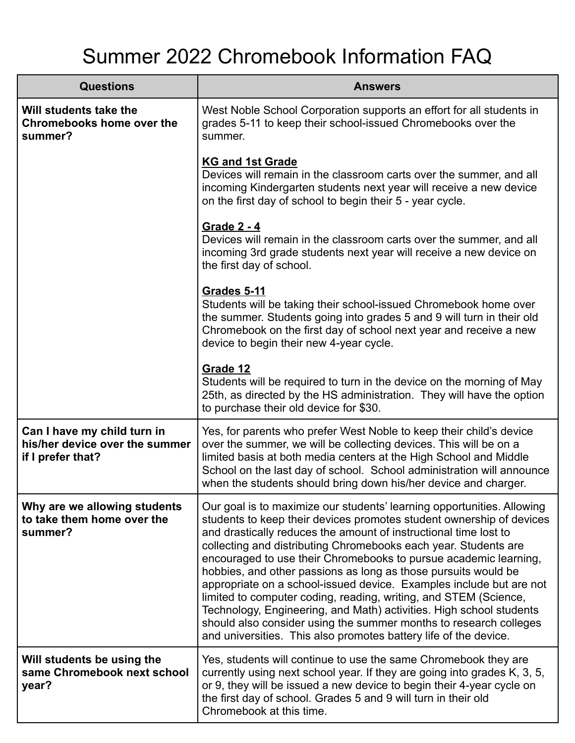## Summer 2022 Chromebook Information FAQ

| <b>Questions</b>                                                                   | <b>Answers</b>                                                                                                                                                                                                                                                                                                                                                                                                                                                                                                                                                                                                                                                                                                                                                                         |
|------------------------------------------------------------------------------------|----------------------------------------------------------------------------------------------------------------------------------------------------------------------------------------------------------------------------------------------------------------------------------------------------------------------------------------------------------------------------------------------------------------------------------------------------------------------------------------------------------------------------------------------------------------------------------------------------------------------------------------------------------------------------------------------------------------------------------------------------------------------------------------|
| Will students take the<br><b>Chromebooks home over the</b><br>summer?              | West Noble School Corporation supports an effort for all students in<br>grades 5-11 to keep their school-issued Chromebooks over the<br>summer.                                                                                                                                                                                                                                                                                                                                                                                                                                                                                                                                                                                                                                        |
|                                                                                    | <b>KG and 1st Grade</b><br>Devices will remain in the classroom carts over the summer, and all<br>incoming Kindergarten students next year will receive a new device<br>on the first day of school to begin their 5 - year cycle.                                                                                                                                                                                                                                                                                                                                                                                                                                                                                                                                                      |
|                                                                                    | Grade 2 - 4<br>Devices will remain in the classroom carts over the summer, and all<br>incoming 3rd grade students next year will receive a new device on<br>the first day of school.                                                                                                                                                                                                                                                                                                                                                                                                                                                                                                                                                                                                   |
|                                                                                    | <b>Grades 5-11</b><br>Students will be taking their school-issued Chromebook home over<br>the summer. Students going into grades 5 and 9 will turn in their old<br>Chromebook on the first day of school next year and receive a new<br>device to begin their new 4-year cycle.                                                                                                                                                                                                                                                                                                                                                                                                                                                                                                        |
|                                                                                    | Grade 12<br>Students will be required to turn in the device on the morning of May<br>25th, as directed by the HS administration. They will have the option<br>to purchase their old device for \$30.                                                                                                                                                                                                                                                                                                                                                                                                                                                                                                                                                                                   |
| Can I have my child turn in<br>his/her device over the summer<br>if I prefer that? | Yes, for parents who prefer West Noble to keep their child's device<br>over the summer, we will be collecting devices. This will be on a<br>limited basis at both media centers at the High School and Middle<br>School on the last day of school. School administration will announce<br>when the students should bring down his/her device and charger.                                                                                                                                                                                                                                                                                                                                                                                                                              |
| Why are we allowing students<br>to take them home over the<br>summer?              | Our goal is to maximize our students' learning opportunities. Allowing<br>students to keep their devices promotes student ownership of devices<br>and drastically reduces the amount of instructional time lost to<br>collecting and distributing Chromebooks each year. Students are<br>encouraged to use their Chromebooks to pursue academic learning,<br>hobbies, and other passions as long as those pursuits would be<br>appropriate on a school-issued device. Examples include but are not<br>limited to computer coding, reading, writing, and STEM (Science,<br>Technology, Engineering, and Math) activities. High school students<br>should also consider using the summer months to research colleges<br>and universities. This also promotes battery life of the device. |
| Will students be using the<br>same Chromebook next school<br>year?                 | Yes, students will continue to use the same Chromebook they are<br>currently using next school year. If they are going into grades K, 3, 5,<br>or 9, they will be issued a new device to begin their 4-year cycle on<br>the first day of school. Grades 5 and 9 will turn in their old<br>Chromebook at this time.                                                                                                                                                                                                                                                                                                                                                                                                                                                                     |